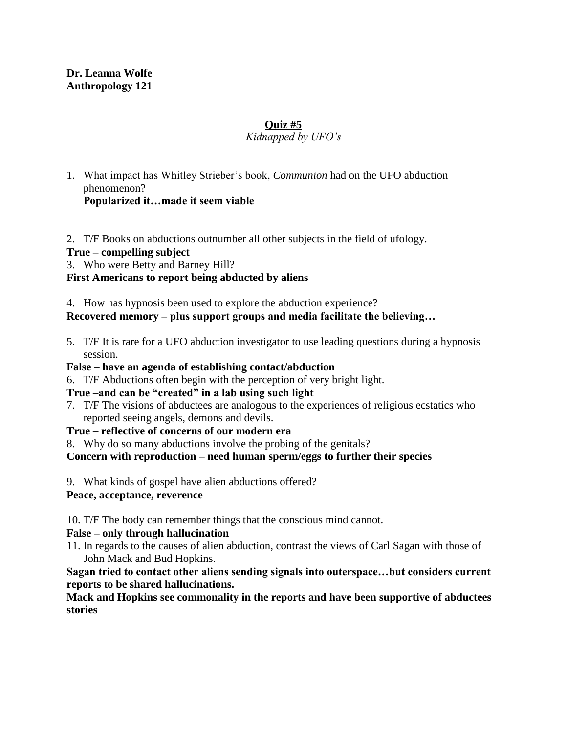#### **Dr. Leanna Wolfe Anthropology 121**

#### **Quiz #5**

#### *Kidnapped by UFO's*

- 1. What impact has Whitley Strieber's book, *Communion* had on the UFO abduction phenomenon? **Popularized it…made it seem viable**
- 2. T/F Books on abductions outnumber all other subjects in the field of ufology.

# **True – compelling subject**

3. Who were Betty and Barney Hill?

# **First Americans to report being abducted by aliens**

4. How has hypnosis been used to explore the abduction experience?

# **Recovered memory – plus support groups and media facilitate the believing…**

5. T/F It is rare for a UFO abduction investigator to use leading questions during a hypnosis session.

#### **False – have an agenda of establishing contact/abduction**

6. T/F Abductions often begin with the perception of very bright light.

# **True –and can be "created" in a lab using such light**

7. T/F The visions of abductees are analogous to the experiences of religious ecstatics who reported seeing angels, demons and devils.

#### **True – reflective of concerns of our modern era**

8. Why do so many abductions involve the probing of the genitals?

# **Concern with reproduction – need human sperm/eggs to further their species**

9. What kinds of gospel have alien abductions offered?

# **Peace, acceptance, reverence**

10. T/F The body can remember things that the conscious mind cannot.

#### **False – only through hallucination**

11. In regards to the causes of alien abduction, contrast the views of Carl Sagan with those of John Mack and Bud Hopkins.

**Sagan tried to contact other aliens sending signals into outerspace…but considers current reports to be shared hallucinations.**

**Mack and Hopkins see commonality in the reports and have been supportive of abductees stories**